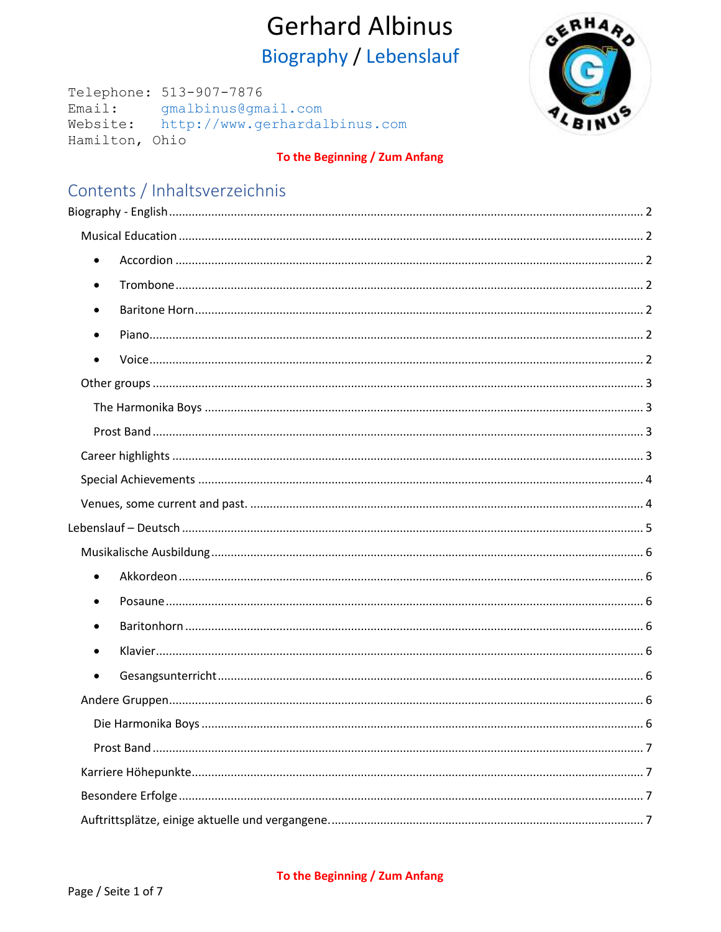<span id="page-0-0"></span>Telephone: 513-907-7876 Email: gmalbinus@gmail.com Website: http://www.gerhardalbinus.com Hamilton, Ohio



## To the Beginning / Zum Anfang

## Contents / Inhaltsverzeichnis

| $\bullet$ |  |
|-----------|--|
| $\bullet$ |  |
|           |  |
| $\bullet$ |  |
|           |  |
|           |  |
|           |  |
|           |  |
|           |  |
|           |  |
|           |  |
|           |  |
|           |  |
| $\bullet$ |  |
| $\bullet$ |  |
|           |  |
|           |  |
| $\bullet$ |  |
|           |  |
|           |  |
|           |  |
|           |  |
|           |  |
|           |  |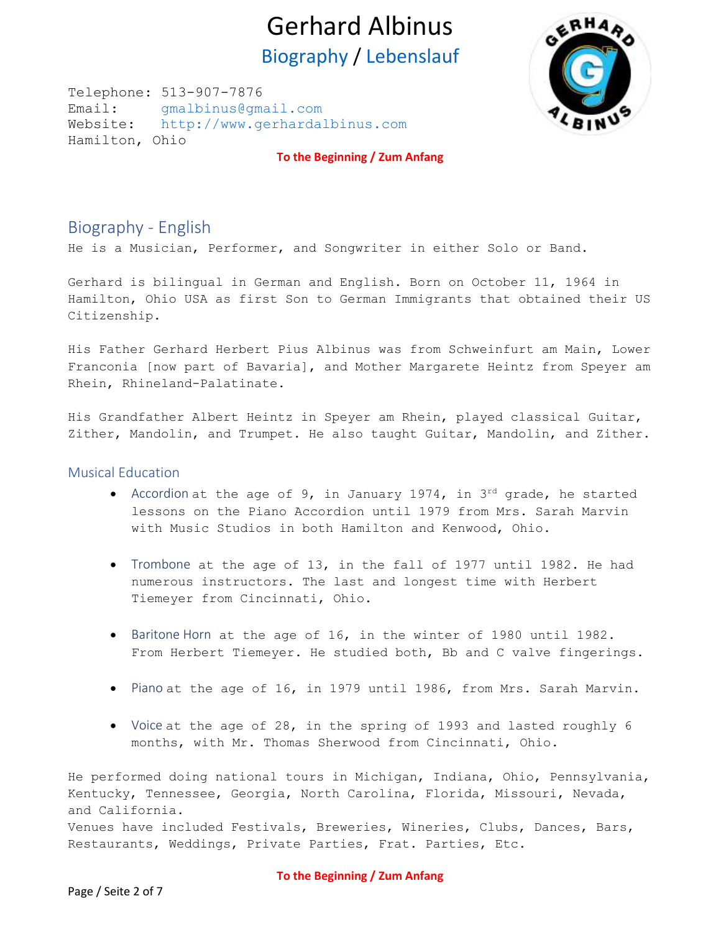Telephone: 513-907-7876 Email: [gmalbinus@gmail.com](mailto:gmalbinus@gmail.com) Website: [http://www.gerhardalbinus.com](http://www.gerhardalbinus.com/) Hamilton, Ohio



**[To the Beginning / Zum Anfang](#page-0-0)**

## <span id="page-1-0"></span>Biography - English

He is a Musician, Performer, and Songwriter in either Solo or Band.

Gerhard is bilingual in German and English. Born on October 11, 1964 in Hamilton, Ohio USA as first Son to German Immigrants that obtained their US Citizenship.

His Father Gerhard Herbert Pius Albinus was from Schweinfurt am Main, Lower Franconia [now part of Bavaria], and Mother Margarete Heintz from Speyer am Rhein, Rhineland-Palatinate.

His Grandfather Albert Heintz in Speyer am Rhein, played classical Guitar, Zither, Mandolin, and Trumpet. He also taught Guitar, Mandolin, and Zither.

### <span id="page-1-2"></span><span id="page-1-1"></span>Musical Education

- Accordion at the age of 9, in January 1974, in  $3^{rd}$  grade, he started lessons on the Piano Accordion until 1979 from Mrs. Sarah Marvin with Music Studios in both Hamilton and Kenwood, Ohio.
- <span id="page-1-3"></span>• Trombone at the age of 13, in the fall of 1977 until 1982. He had numerous instructors. The last and longest time with Herbert Tiemeyer from Cincinnati, Ohio.
- <span id="page-1-4"></span>• Baritone Horn at the age of 16, in the winter of 1980 until 1982. From Herbert Tiemeyer. He studied both, Bb and C valve fingerings.
- <span id="page-1-5"></span>• Piano at the age of 16, in 1979 until 1986, from Mrs. Sarah Marvin.
- <span id="page-1-6"></span>• Voice at the age of 28, in the spring of 1993 and lasted roughly 6 months, with Mr. Thomas Sherwood from Cincinnati, Ohio.

He performed doing national tours in Michigan, Indiana, Ohio, Pennsylvania, Kentucky, Tennessee, Georgia, North Carolina, Florida, Missouri, Nevada, and California. Venues have included Festivals, Breweries, Wineries, Clubs, Dances, Bars, Restaurants, Weddings, Private Parties, Frat. Parties, Etc.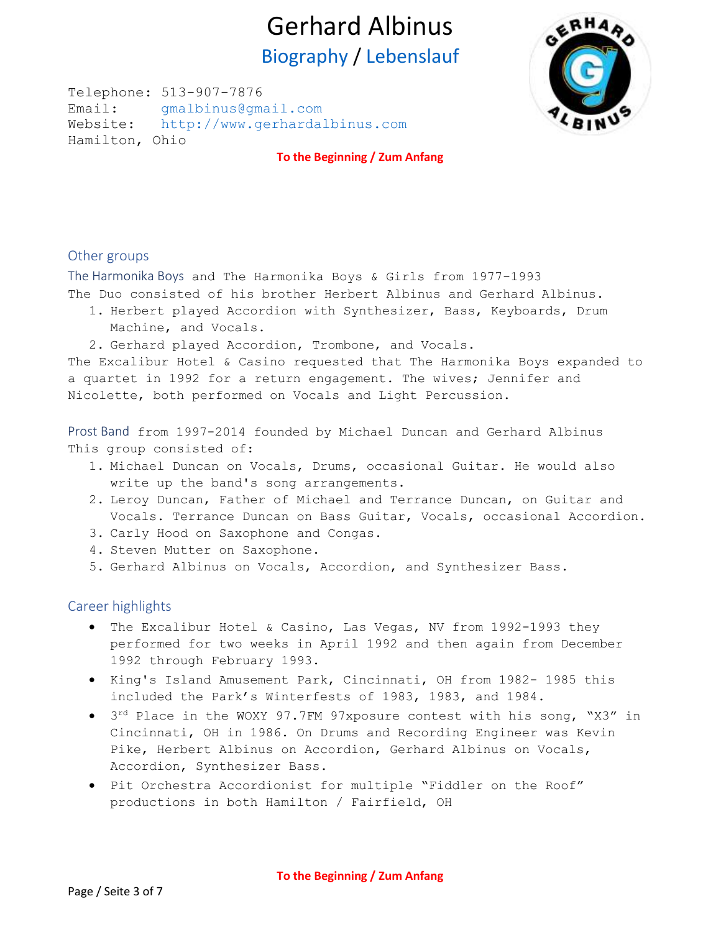Telephone: 513-907-7876 Email: [gmalbinus@gmail.com](mailto:gmalbinus@gmail.com) Website: [http://www.gerhardalbinus.com](http://www.gerhardalbinus.com/) Hamilton, Ohio



**[To the Beginning / Zum Anfang](#page-0-0)**

## <span id="page-2-0"></span>Other groups

<span id="page-2-1"></span>The Harmonika Boys and The Harmonika Boys & Girls from 1977-1993

The Duo consisted of his brother Herbert Albinus and Gerhard Albinus.

- 1. Herbert played Accordion with Synthesizer, Bass, Keyboards, Drum Machine, and Vocals.
- 2. Gerhard played Accordion, Trombone, and Vocals.

The Excalibur Hotel & Casino requested that The Harmonika Boys expanded to a quartet in 1992 for a return engagement. The wives; Jennifer and Nicolette, both performed on Vocals and Light Percussion.

<span id="page-2-2"></span>Prost Band from 1997-2014 founded by Michael Duncan and Gerhard Albinus This group consisted of:

- 1. Michael Duncan on Vocals, Drums, occasional Guitar. He would also write up the band's song arrangements.
- 2. Leroy Duncan, Father of Michael and Terrance Duncan, on Guitar and Vocals. Terrance Duncan on Bass Guitar, Vocals, occasional Accordion.
- 3. Carly Hood on Saxophone and Congas.
- 4. Steven Mutter on Saxophone.
- 5. Gerhard Albinus on Vocals, Accordion, and Synthesizer Bass.

### <span id="page-2-3"></span>Career highlights

- The Excalibur Hotel & Casino, Las Vegas, NV from 1992-1993 they performed for two weeks in April 1992 and then again from December 1992 through February 1993.
- King's Island Amusement Park, Cincinnati, OH from 1982- 1985 this included the Park's Winterfests of 1983, 1983, and 1984.
- 3<sup>rd</sup> Place in the WOXY 97.7FM 97xposure contest with his song, "X3" in Cincinnati, OH in 1986. On Drums and Recording Engineer was Kevin Pike, Herbert Albinus on Accordion, Gerhard Albinus on Vocals, Accordion, Synthesizer Bass.
- Pit Orchestra Accordionist for multiple "Fiddler on the Roof" productions in both Hamilton / Fairfield, OH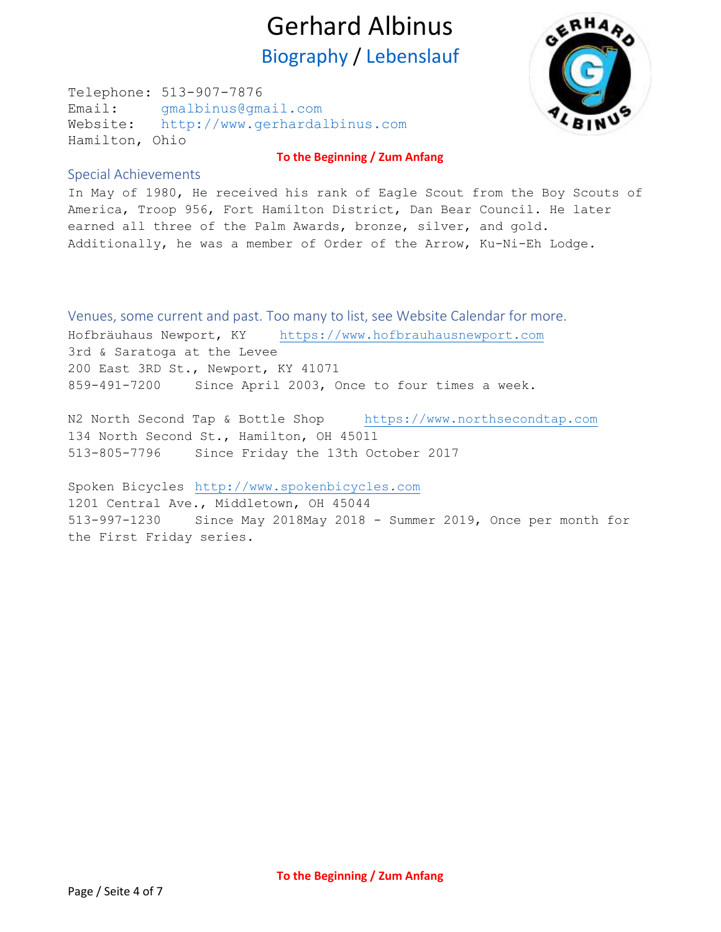Telephone: 513-907-7876 Email: [gmalbinus@gmail.com](mailto:gmalbinus@gmail.com) Website: [http://www.gerhardalbinus.com](http://www.gerhardalbinus.com/) Hamilton, Ohio



### **[To the Beginning / Zum Anfang](#page-0-0)**

### <span id="page-3-0"></span>Special Achievements

In May of 1980, He received his rank of Eagle Scout from the Boy Scouts of America, Troop 956, Fort Hamilton District, Dan Bear Council. He later earned all three of the Palm Awards, bronze, silver, and gold. Additionally, he was a member of Order of the Arrow, Ku-Ni-Eh Lodge.

<span id="page-3-1"></span>Venues, some current and past. Too many to list, see Website Calendar for more. Hofbräuhaus Newport, KY [https://www.hofbrauhausnewport.com](https://www.hofbrauhausnewport.com/) 3rd & Saratoga at the Levee 200 East 3RD St., Newport, KY 41071 859-491-7200 Since April 2003, Once to four times a week.

N2 North Second Tap & Bottle Shop [https://www.northsecondtap.com](https://www.northsecondtap.com/) 134 North Second St., Hamilton, OH 45011 513-805-7796 Since Friday the 13th October 2017

Spoken Bicycles [http://www.spokenbicycles.com](http://www.spokenbicycles.com/) 1201 Central Ave., Middletown, OH 45044 513-997-1230 Since May 2018May 2018 - Summer 2019, Once per month for the First Friday series.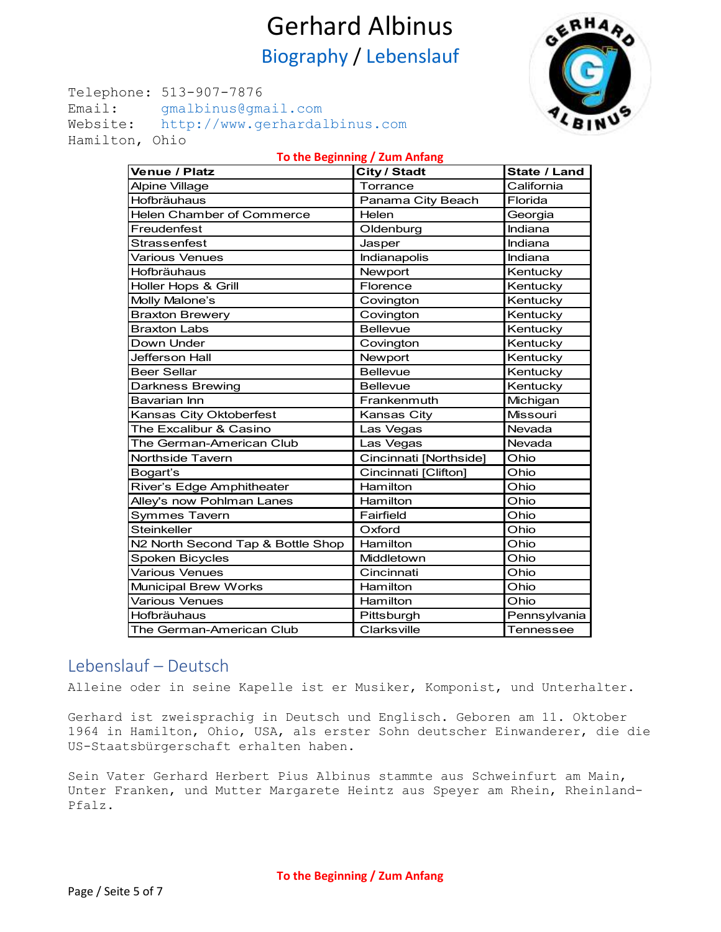Telephone: 513-907-7876 Email: [gmalbinus@gmail.com](mailto:gmalbinus@gmail.com) Website: [http://www.gerhardalbinus.com](http://www.gerhardalbinus.com/) Hamilton, Ohio



| To the Beginning / Zum Anfang     |                        |                  |  |
|-----------------------------------|------------------------|------------------|--|
| Venue / Platz                     | City / Stadt           | State / Land     |  |
| <b>Alpine Village</b>             | Torrance               | California       |  |
| Hofbräuhaus                       | Panama City Beach      | Florida          |  |
| Helen Chamber of Commerce         | Helen                  | Georgia          |  |
| Freudenfest                       | Oldenburg              | Indiana          |  |
| Strassenfest                      | Jasper                 | Indiana          |  |
| <b>Various Venues</b>             | Indianapolis           | Indiana          |  |
| Hofbräuhaus                       | Newport                | Kentucky         |  |
| Holler Hops & Grill               | Florence               | Kentucky         |  |
| Molly Malone's                    | Covington              | Kentucky         |  |
| <b>Braxton Brewery</b>            | Covington              | Kentucky         |  |
| <b>Braxton Labs</b>               | <b>Bellevue</b>        | Kentucky         |  |
| Down Under                        | Covington              | Kentucky         |  |
| Jefferson Hall                    | Newport                | Kentucky         |  |
| <b>Beer Sellar</b>                | <b>Bellevue</b>        | Kentucky         |  |
| <b>Darkness Brewing</b>           | <b>Bellevue</b>        | Kentucky         |  |
| <b>Bavarian Inn</b>               | Frankenmuth            | Michigan         |  |
| Kansas City Oktoberfest           | Kansas City            | <b>Missouri</b>  |  |
| The Excalibur & Casino            | Las Vegas              | Nevada           |  |
| The German-American Club          | Las Vegas              | Nevada           |  |
| Northside Tavern                  | Cincinnati [Northside] | Ohio             |  |
| Bogart's                          | Cincinnati [Clifton]   | Ohio             |  |
| River's Edge Amphitheater         | Hamilton               | Ohio             |  |
| Alley's now Pohlman Lanes         | Hamilton               | Ohio             |  |
| <b>Symmes Tavern</b>              | Fairfield              | Ohio             |  |
| <b>Steinkeller</b>                | Oxford                 | Ohio             |  |
| N2 North Second Tap & Bottle Shop | Hamilton               | Ohio             |  |
| <b>Spoken Bicycles</b>            | Middletown             | Ohio             |  |
| <b>Various Venues</b>             | Cincinnati             | Ohio             |  |
| <b>Municipal Brew Works</b>       | Hamilton               | Ohio             |  |
| <b>Various Venues</b>             | Hamilton               | Ohio             |  |
| Hofbräuhaus                       | Pittsburgh             | Pennsylvania     |  |
| The German-American Club          | Clarksville            | <b>Tennessee</b> |  |

## <span id="page-4-0"></span>Lebenslauf – Deutsch

Alleine oder in seine Kapelle ist er Musiker, Komponist, und Unterhalter.

Gerhard ist zweisprachig in Deutsch und Englisch. Geboren am 11. Oktober 1964 in Hamilton, Ohio, USA, als erster Sohn deutscher Einwanderer, die die US-Staatsbürgerschaft erhalten haben.

Sein Vater Gerhard Herbert Pius Albinus stammte aus Schweinfurt am Main, Unter Franken, und Mutter Margarete Heintz aus Speyer am Rhein, Rheinland-Pfalz.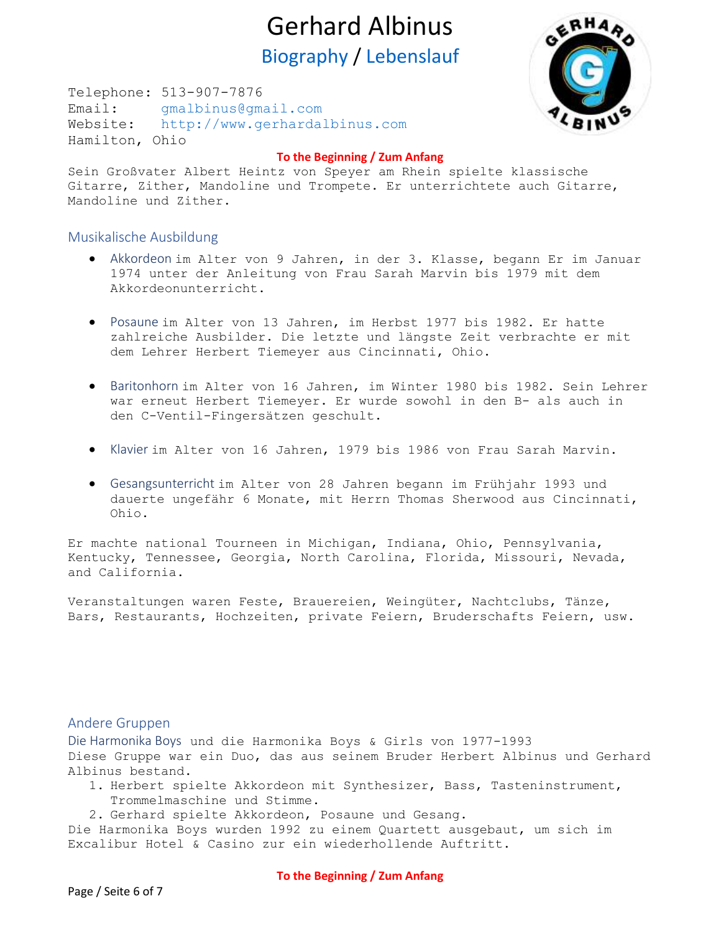Telephone: 513-907-7876 Email: [gmalbinus@gmail.com](mailto:gmalbinus@gmail.com) Website: [http://www.gerhardalbinus.com](http://www.gerhardalbinus.com/) Hamilton, Ohio



#### **[To the Beginning / Zum Anfang](#page-0-0)**

Sein Großvater Albert Heintz von Speyer am Rhein spielte klassische Gitarre, Zither, Mandoline und Trompete. Er unterrichtete auch Gitarre, Mandoline und Zither.

### <span id="page-5-1"></span><span id="page-5-0"></span>Musikalische Ausbildung

- Akkordeon im Alter von 9 Jahren, in der 3. Klasse, begann Er im Januar 1974 unter der Anleitung von Frau Sarah Marvin bis 1979 mit dem Akkordeonunterricht.
- <span id="page-5-2"></span>• Posaune im Alter von 13 Jahren, im Herbst 1977 bis 1982. Er hatte zahlreiche Ausbilder. Die letzte und längste Zeit verbrachte er mit dem Lehrer Herbert Tiemeyer aus Cincinnati, Ohio.
- <span id="page-5-3"></span>• Baritonhorn im Alter von 16 Jahren, im Winter 1980 bis 1982. Sein Lehrer war erneut Herbert Tiemeyer. Er wurde sowohl in den B- als auch in den C-Ventil-Fingersätzen geschult.
- <span id="page-5-4"></span>• Klavier im Alter von 16 Jahren, 1979 bis 1986 von Frau Sarah Marvin.
- <span id="page-5-5"></span>• Gesangsunterricht im Alter von 28 Jahren begann im Frühjahr 1993 und dauerte ungefähr 6 Monate, mit Herrn Thomas Sherwood aus Cincinnati, Ohio.

Er machte national Tourneen in Michigan, Indiana, Ohio, Pennsylvania, Kentucky, Tennessee, Georgia, North Carolina, Florida, Missouri, Nevada, and California.

Veranstaltungen waren Feste, Brauereien, Weingüter, Nachtclubs, Tänze, Bars, Restaurants, Hochzeiten, private Feiern, Bruderschafts Feiern, usw.

### <span id="page-5-6"></span>Andere Gruppen

<span id="page-5-7"></span>Die Harmonika Boys und die Harmonika Boys & Girls von 1977-1993 Diese Gruppe war ein Duo, das aus seinem Bruder Herbert Albinus und Gerhard Albinus bestand.

- 1. Herbert spielte Akkordeon mit Synthesizer, Bass, Tasteninstrument, Trommelmaschine und Stimme.
- 2. Gerhard spielte Akkordeon, Posaune und Gesang.

Die Harmonika Boys wurden 1992 zu einem Quartett ausgebaut, um sich im Excalibur Hotel & Casino zur ein wiederhollende Auftritt.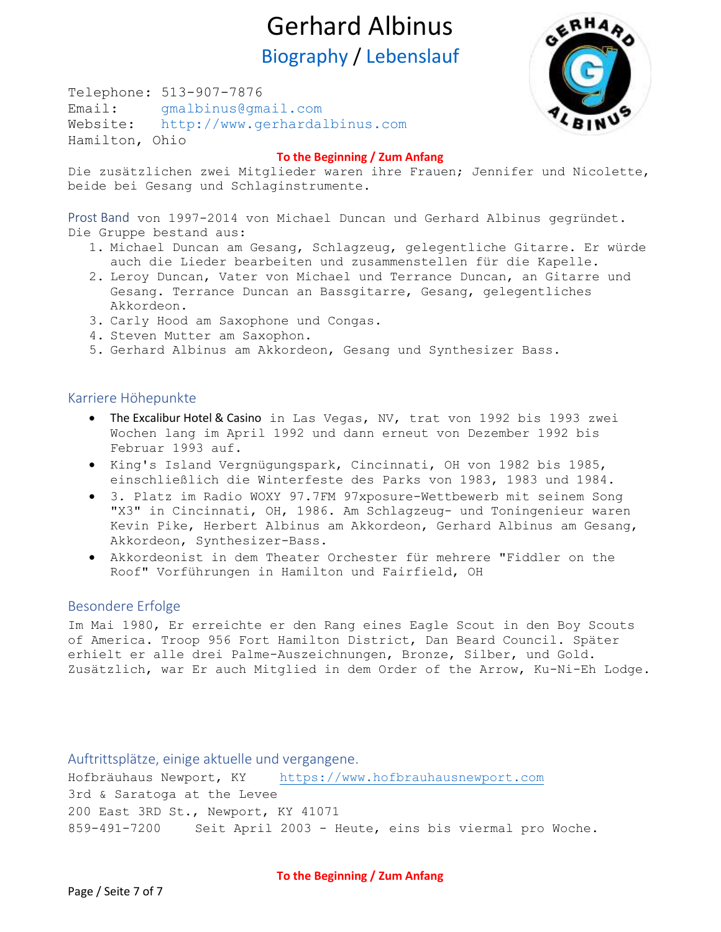Telephone: 513-907-7876 Email: [gmalbinus@gmail.com](mailto:gmalbinus@gmail.com) Website: [http://www.gerhardalbinus.com](http://www.gerhardalbinus.com/) Hamilton, Ohio



#### **[To the Beginning / Zum Anfang](#page-0-0)**

Die zusätzlichen zwei Mitglieder waren ihre Frauen; Jennifer und Nicolette, beide bei Gesang und Schlaginstrumente.

<span id="page-6-0"></span>Prost Band von 1997-2014 von Michael Duncan und Gerhard Albinus gegründet. Die Gruppe bestand aus:

- 1. Michael Duncan am Gesang, Schlagzeug, gelegentliche Gitarre. Er würde auch die Lieder bearbeiten und zusammenstellen für die Kapelle.
- 2. Leroy Duncan, Vater von Michael und Terrance Duncan, an Gitarre und Gesang. Terrance Duncan an Bassgitarre, Gesang, gelegentliches Akkordeon.
- 3. Carly Hood am Saxophone und Congas.
- 4. Steven Mutter am Saxophon.
- 5. Gerhard Albinus am Akkordeon, Gesang und Synthesizer Bass.

#### <span id="page-6-1"></span>Karriere Höhepunkte

- The Excalibur Hotel & Casino in Las Vegas, NV, trat von 1992 bis 1993 zwei Wochen lang im April 1992 und dann erneut von Dezember 1992 bis Februar 1993 auf.
- King's Island Vergnügungspark, Cincinnati, OH von 1982 bis 1985, einschließlich die Winterfeste des Parks von 1983, 1983 und 1984.
- 3. Platz im Radio WOXY 97.7FM 97xposure-Wettbewerb mit seinem Song "X3" in Cincinnati, OH, 1986. Am Schlagzeug- und Toningenieur waren Kevin Pike, Herbert Albinus am Akkordeon, Gerhard Albinus am Gesang, Akkordeon, Synthesizer-Bass.
- Akkordeonist in dem Theater Orchester für mehrere "Fiddler on the Roof" Vorführungen in Hamilton und Fairfield, OH

### <span id="page-6-2"></span>Besondere Erfolge

Im Mai 1980, Er erreichte er den Rang eines Eagle Scout in den Boy Scouts of America. Troop 956 Fort Hamilton District, Dan Beard Council. Später erhielt er alle drei Palme-Auszeichnungen, Bronze, Silber, und Gold. Zusätzlich, war Er auch Mitglied in dem Order of the Arrow, Ku-Ni-Eh Lodge.

<span id="page-6-3"></span>Auftrittsplätze, einige aktuelle und vergangene. Hofbräuhaus Newport, KY [https://www.hofbrauhausnewport.com](https://www.hofbrauhausnewport.com/) 3rd & Saratoga at the Levee 200 East 3RD St., Newport, KY 41071 859-491-7200 Seit April 2003 - Heute, eins bis viermal pro Woche.